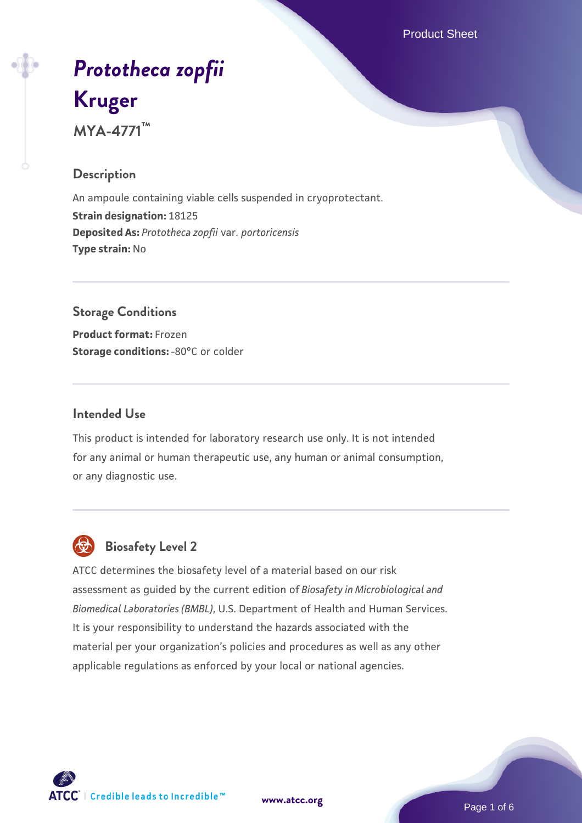Product Sheet

# *[Prototheca zopfii](https://www.atcc.org/products/mya-4771)* **[Kruger](https://www.atcc.org/products/mya-4771) MYA-4771™**

## **Description**

An ampoule containing viable cells suspended in cryoprotectant. **Strain designation:** 18125 **Deposited As:** *Prototheca zopfii* var. *portoricensis* **Type strain:** No

## **Storage Conditions**

**Product format:** Frozen **Storage conditions: -80°C or colder** 

## **Intended Use**

This product is intended for laboratory research use only. It is not intended for any animal or human therapeutic use, any human or animal consumption, or any diagnostic use.



## **Biosafety Level 2**

ATCC determines the biosafety level of a material based on our risk assessment as guided by the current edition of *Biosafety in Microbiological and Biomedical Laboratories (BMBL)*, U.S. Department of Health and Human Services. It is your responsibility to understand the hazards associated with the material per your organization's policies and procedures as well as any other applicable regulations as enforced by your local or national agencies.



**[www.atcc.org](http://www.atcc.org)**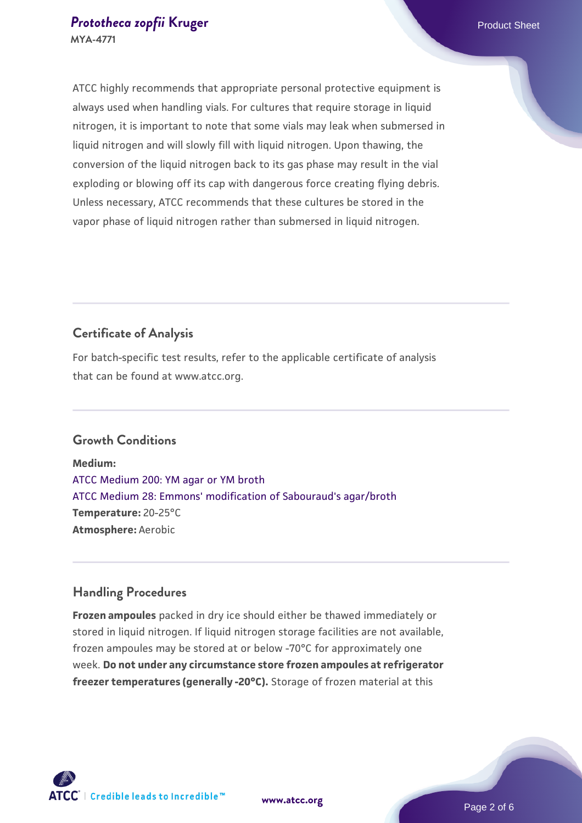#### **[Prototheca zopfii](https://www.atcc.org/products/mya-4771)** [Kruger](https://www.atcc.org/products/mya-4771) **Prototheca zopfii** Kruger **MYA-4771**

ATCC highly recommends that appropriate personal protective equipment is always used when handling vials. For cultures that require storage in liquid nitrogen, it is important to note that some vials may leak when submersed in liquid nitrogen and will slowly fill with liquid nitrogen. Upon thawing, the conversion of the liquid nitrogen back to its gas phase may result in the vial exploding or blowing off its cap with dangerous force creating flying debris. Unless necessary, ATCC recommends that these cultures be stored in the vapor phase of liquid nitrogen rather than submersed in liquid nitrogen.

## **Certificate of Analysis**

For batch-specific test results, refer to the applicable certificate of analysis that can be found at www.atcc.org.

## **Growth Conditions**

**Medium:**  [ATCC Medium 200: YM agar or YM broth](https://www.atcc.org/-/media/product-assets/documents/microbial-media-formulations/2/0/0/atcc-medium-200.pdf?rev=ac40fd74dc13433a809367b0b9da30fc) [ATCC Medium 28: Emmons' modification of Sabouraud's agar/broth](https://www.atcc.org/-/media/product-assets/documents/microbial-media-formulations/2/8/atcc-medium-28.pdf?rev=0da0c58cc2a343eeae735016b70809bb) **Temperature:** 20-25°C **Atmosphere:** Aerobic

## **Handling Procedures**

**Frozen ampoules** packed in dry ice should either be thawed immediately or stored in liquid nitrogen. If liquid nitrogen storage facilities are not available, frozen ampoules may be stored at or below -70°C for approximately one week. **Do not under any circumstance store frozen ampoules at refrigerator freezer temperatures (generally -20°C).** Storage of frozen material at this

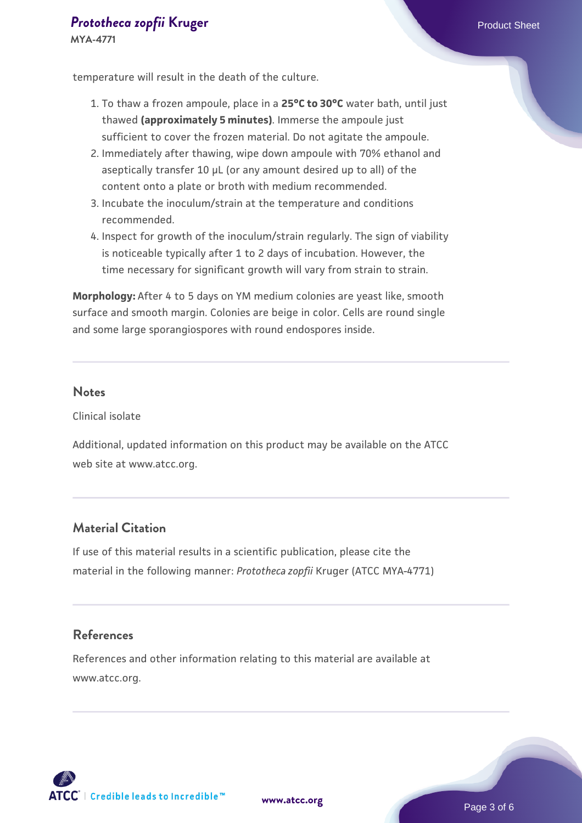## **[Prototheca zopfii](https://www.atcc.org/products/mya-4771)** [Kruger](https://www.atcc.org/products/mya-4771) **Prototheca zopfii** Kruger

**MYA-4771**

temperature will result in the death of the culture.

- 1. To thaw a frozen ampoule, place in a **25°C to 30°C** water bath, until just thawed **(approximately 5 minutes)**. Immerse the ampoule just sufficient to cover the frozen material. Do not agitate the ampoule.
- 2. Immediately after thawing, wipe down ampoule with 70% ethanol and aseptically transfer 10 µL (or any amount desired up to all) of the content onto a plate or broth with medium recommended.
- 3. Incubate the inoculum/strain at the temperature and conditions recommended.
- 4. Inspect for growth of the inoculum/strain regularly. The sign of viability is noticeable typically after 1 to 2 days of incubation. However, the time necessary for significant growth will vary from strain to strain.

**Morphology:** After 4 to 5 days on YM medium colonies are yeast like, smooth surface and smooth margin. Colonies are beige in color. Cells are round single and some large sporangiospores with round endospores inside.

#### **Notes**

Clinical isolate

Additional, updated information on this product may be available on the ATCC web site at www.atcc.org.

#### **Material Citation**

If use of this material results in a scientific publication, please cite the material in the following manner: *Prototheca zopfii* Kruger (ATCC MYA-4771)

#### **References**

References and other information relating to this material are available at www.atcc.org.





Page 3 of 6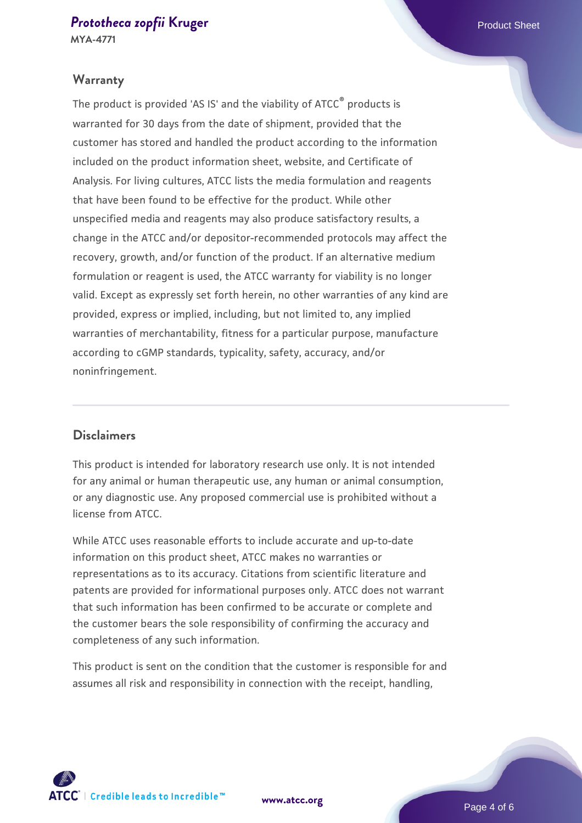#### **[Prototheca zopfii](https://www.atcc.org/products/mya-4771)** [Kruger](https://www.atcc.org/products/mya-4771) **Prototheca zopfii** Kruger

**MYA-4771**

#### **Warranty**

The product is provided 'AS IS' and the viability of ATCC® products is warranted for 30 days from the date of shipment, provided that the customer has stored and handled the product according to the information included on the product information sheet, website, and Certificate of Analysis. For living cultures, ATCC lists the media formulation and reagents that have been found to be effective for the product. While other unspecified media and reagents may also produce satisfactory results, a change in the ATCC and/or depositor-recommended protocols may affect the recovery, growth, and/or function of the product. If an alternative medium formulation or reagent is used, the ATCC warranty for viability is no longer valid. Except as expressly set forth herein, no other warranties of any kind are provided, express or implied, including, but not limited to, any implied warranties of merchantability, fitness for a particular purpose, manufacture according to cGMP standards, typicality, safety, accuracy, and/or noninfringement.

#### **Disclaimers**

This product is intended for laboratory research use only. It is not intended for any animal or human therapeutic use, any human or animal consumption, or any diagnostic use. Any proposed commercial use is prohibited without a license from ATCC.

While ATCC uses reasonable efforts to include accurate and up-to-date information on this product sheet, ATCC makes no warranties or representations as to its accuracy. Citations from scientific literature and patents are provided for informational purposes only. ATCC does not warrant that such information has been confirmed to be accurate or complete and the customer bears the sole responsibility of confirming the accuracy and completeness of any such information.

This product is sent on the condition that the customer is responsible for and assumes all risk and responsibility in connection with the receipt, handling,



**[www.atcc.org](http://www.atcc.org)**

Page 4 of 6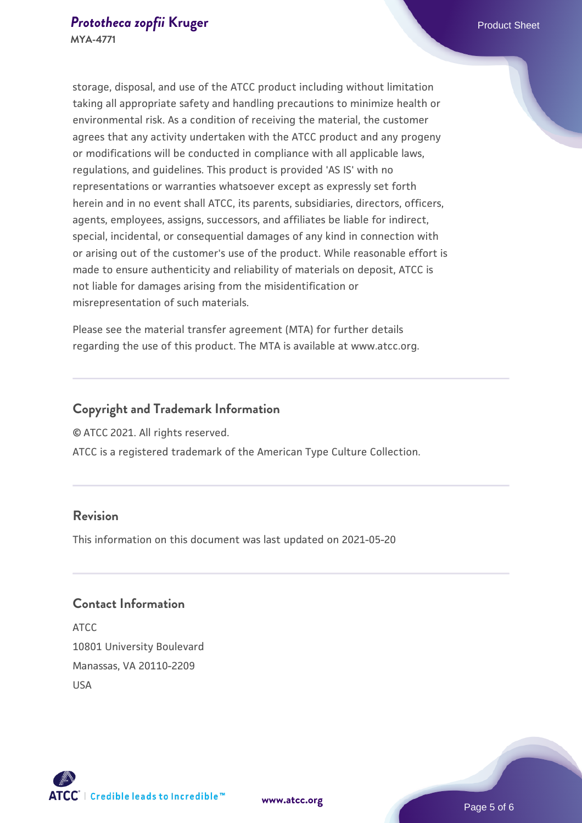**MYA-4771**

storage, disposal, and use of the ATCC product including without limitation taking all appropriate safety and handling precautions to minimize health or environmental risk. As a condition of receiving the material, the customer agrees that any activity undertaken with the ATCC product and any progeny or modifications will be conducted in compliance with all applicable laws, regulations, and guidelines. This product is provided 'AS IS' with no representations or warranties whatsoever except as expressly set forth herein and in no event shall ATCC, its parents, subsidiaries, directors, officers, agents, employees, assigns, successors, and affiliates be liable for indirect, special, incidental, or consequential damages of any kind in connection with or arising out of the customer's use of the product. While reasonable effort is made to ensure authenticity and reliability of materials on deposit, ATCC is not liable for damages arising from the misidentification or misrepresentation of such materials.

Please see the material transfer agreement (MTA) for further details regarding the use of this product. The MTA is available at www.atcc.org.

## **Copyright and Trademark Information**

© ATCC 2021. All rights reserved.

ATCC is a registered trademark of the American Type Culture Collection.

## **Revision**

This information on this document was last updated on 2021-05-20

## **Contact Information**

ATCC 10801 University Boulevard Manassas, VA 20110-2209 USA